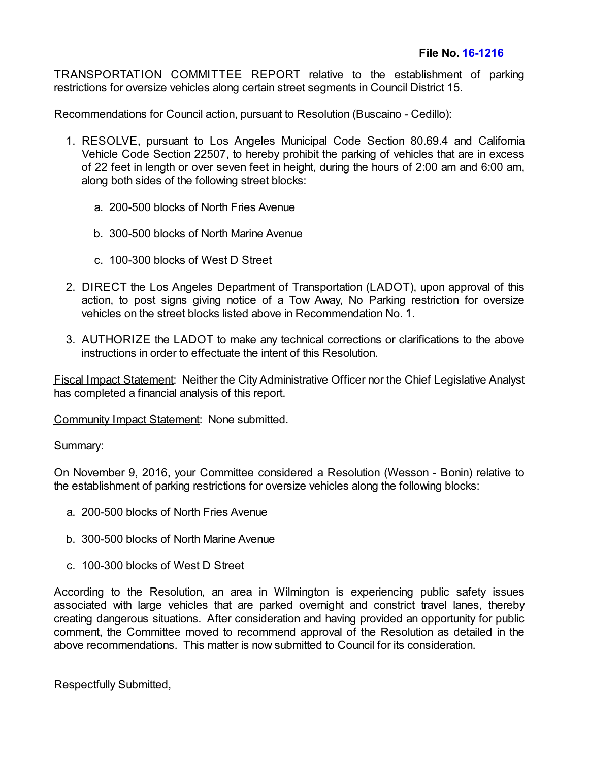TRANSPORTATION COMMITTEE REPORT relative to the establishment of parking restrictions for oversize vehicles along certain street segments in Council District 15.

Recommendations for Council action, pursuant to Resolution (Buscaino - Cedillo):

- 1. RESOLVE, pursuant to Los Angeles Municipal Code Section 80.69.4 and California Vehicle Code Section 22507, to hereby prohibit the parking of vehicles that are in excess of 22 feet in length or over seven feet in height, during the hours of 2:00 am and 6:00 am, along both sides of the following street blocks:
	- a. 200-500 blocks of North Fries Avenue
	- b. 300-500 blocks of North Marine Avenue
	- c. 100-300 blocks of West D Street
- 2. DIRECT the Los Angeles Department of Transportation (LADOT), upon approval of this action, to post signs giving notice of a Tow Away, No Parking restriction for oversize vehicles on the street blocks listed above in Recommendation No. 1.
- 3. AUTHORIZE the LADOT to make any technical corrections or clarifications to the above instructions in order to effectuate the intent of this Resolution.

Fiscal Impact Statement: Neither the City Administrative Officer nor the Chief Legislative Analyst has completed a financial analysis of this report.

Community Impact Statement: None submitted.

## Summary:

On November 9, 2016, your Committee considered a Resolution (Wesson - Bonin) relative to the establishment of parking restrictions for oversize vehicles along the following blocks:

- a. 200-500 blocks of North Fries Avenue
- b. 300-500 blocks of North Marine Avenue
- c. 100-300 blocks of West D Street

According to the Resolution, an area in Wilmington is experiencing public safety issues associated with large vehicles that are parked overnight and constrict travel lanes, thereby creating dangerous situations. After consideration and having provided an opportunity for public comment, the Committee moved to recommend approval of the Resolution as detailed in the above recommendations. This matter is now submitted to Council for its consideration.

Respectfully Submitted,